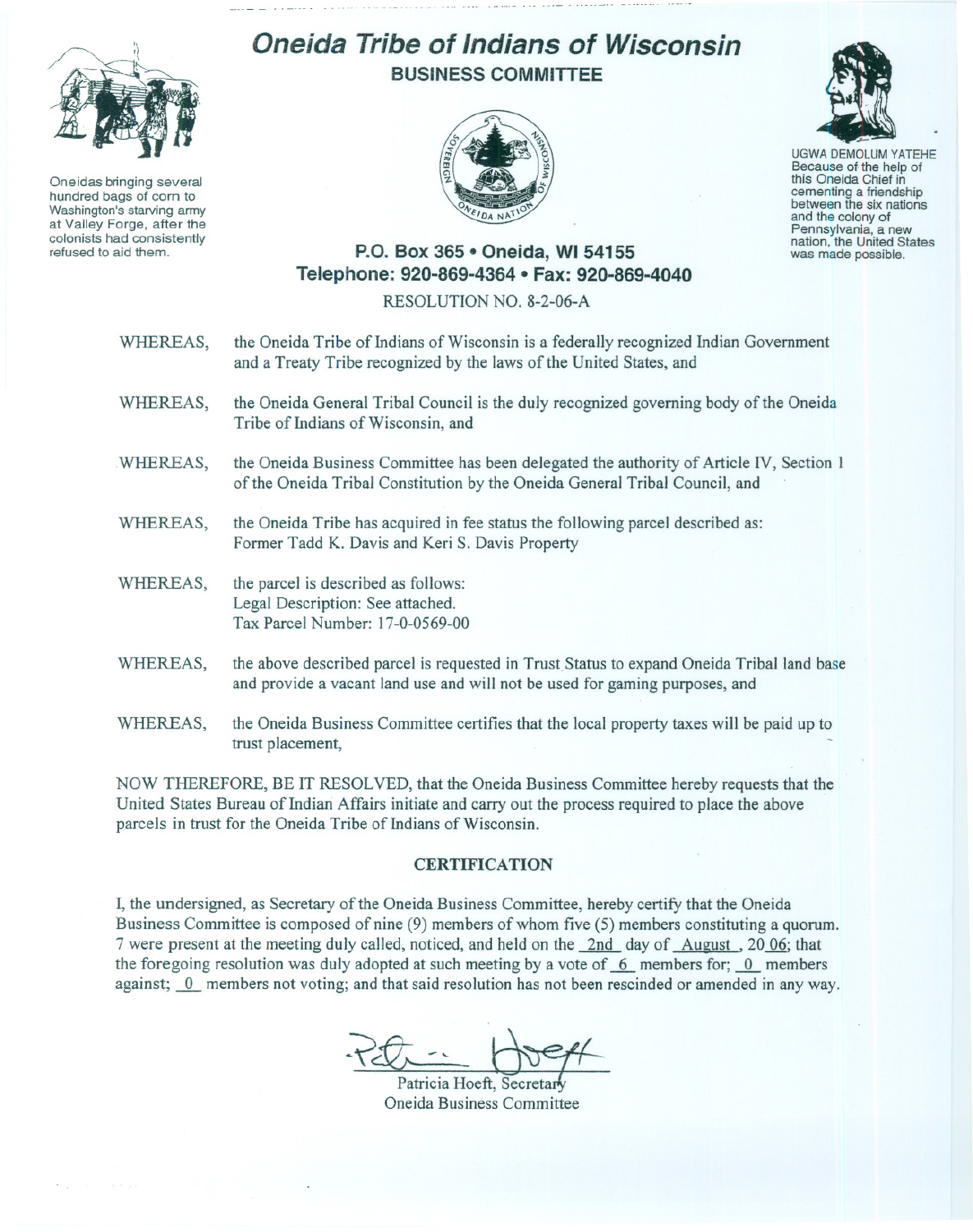

Oneidas bringing several hundred bags of corn to Washington's starving army at Valley Forge, after the refused to aid them.

## **Oneida Tribe of Indians of Wisconsin BUSINESS COMMITTEE**



UGWA DEMOLUM YATEHE Because of the help of this Oneida Chief in cementing <sup>a</sup> friendship between the six nations and the colony of<br>Pennsylvania, a new nation, the United States

was made possible.

## **P.O. Box 365· Oneida,** WI 54155 **Telephone: 920-869-4364 • Fax: 920-869-4040**

## RESOLUTION NO. 8-2-06-A

- WHEREAS, the Oneida Tribe of Indians of Wisconsin is a federally recognized Indian Government and a Treaty Tribe recognized by the laws of the United States, and
- WHEREAS, the Oneida General Tribal Council is the duly recognized governing body of the Oneida Tribe of Indians of Wisconsin, and
- WHEREAS, the Oneida Business Committee has been delegated the authority of Article IV, Section 1 of the Oneida Tribal Constitution by the Oneida General Tribal Council, and
- WHEREAS, the Oneida Tribe has acquired in fee status the following parcel described as: Former Tadd K. Davis and Keri S. Davis Property
- WHEREAS, the parcel is described as follows: Legal Description: See attached. Tax Parcel Number: 17-0-0569-00
- WHEREAS, the above described parcel is requested in Trust Status to expand Oneida Tribal land base and provide a vacant land use and will not be used for gaming purposes, and
- WHEREAS, the Oneida Business Committee certifies that the local property taxes will be paid up to trust placement,

NOW THEREFORE, BE IT RESOLVED, that the Oneida Business Committee hereby requests that the United States Bureau of Indian Affairs initiate and carry out the process required to place the above parcels in trust for the Oneida Tribe of Indians of Wisconsin.

## **CERTIFICATION**

I, the undersigned, as Secretary of the Oneida Business Committee, hereby certify that the Oneida Business Committee is composed of nine (9) members of whom five (5) members constituting a quorum. 7 were present at the meeting duly called, noticed, and held on the 2nd day of August, 20 06; that the foregoing resolution was duly adopted at such meeting by a vote of  $~6~$  members for;  $~0~$  members against;  $\overline{0}$  members not voting; and that said resolution has not been rescinded or amended in any way.

Patricia Hoeft, Secreta Oneida Business Committee